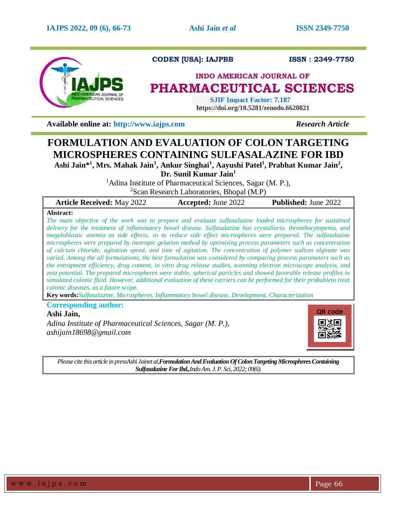

**CODEN [USA]: IAJPBB ISSN : 2349-7750** 

# **INDO AMERICAN JOURNAL OF PHARMACEUTICAL SCIENCES**

 **SJIF Impact Factor: 7.187 https://doi.org/10.5281/zenodo.6620821**

**Available online at: [http://www.iajps.com](http://www.iajps.com/)** *Research Article*

# **FORMULATION AND EVALUATION OF COLON TARGETING MICROSPHERES CONTAINING SULFASALAZINE FOR IBD**

**Ashi Jain\* 1 , Mrs. Mahak Jain<sup>1</sup> , Ankur Singhai<sup>1</sup> , Aayushi Patel<sup>1</sup> , Prabhat Kumar Jain<sup>2</sup> ,** 

**Dr. Sunil Kumar Jain<sup>1</sup>**

<sup>1</sup>Adina Institute of Pharmaceutical Sciences, Sagar  $(M, P)$ ,

 ${}^{2}$ Scan Research Laboratories, Bhopal (M.P)

| <b>Article Received: May 2022</b> | <b>Accepted: June 2022</b> | <b>Published:</b> June 2022 |
|-----------------------------------|----------------------------|-----------------------------|
|                                   |                            |                             |

# **Abstract:**

*The main objective of the work was to prepare and evaluate sulfasalazine loaded microspheres for sustained delivery for the treatment of inflammatory bowel disease. Sulfasalazine has crystalluria, thrombocytopenia, and megaloblastic anemia as side effects, so to reduce side effect microspheres were prepared. The sulfasalazine microspheres were prepared by inotropic gelation method by optimizing process parameters such as concentration of calcium chloride, agitation speed, and time of agitation. The concentration of polymer sodium alginate was varied. Among the all formulations, the best formulation was considered by comparing process parameters such as the entrapment efficiency, drug content, in vitro drug release studies, scanning electron microscope analysis, and zeta potential. The prepared microspheres were stable, spherical particles and showed favorable release profiles in simulated colonic fluid. However, additional evaluation of these carriers can be performed for their probableto treat colonic diseases, as a future scope.*

**Key words:***Sulfasalazine, Microspheres, Inflammatory bowel disease, Development, Characterization*

**Corresponding author:** 

# **Ashi Jain,**

*Adina Institute of Pharmaceutical Sciences, Sagar (M. P.), ashijain18698@gmail.com*



*Please cite this article in pressAshi Jainet al,Formulation And Evaluation Of Colon Targeting Microspheres Containing Sulfasalazine For Ibd.,Indo Am. J. P. Sci, 2022; 09(6).*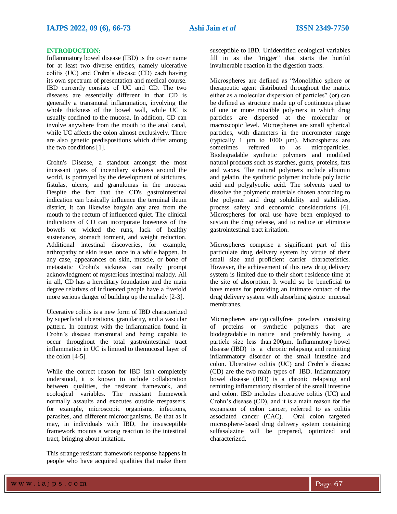# **INTRODUCTION:**

Inflammatory bowel disease (IBD) is the cover name for at least two diverse entities, namely ulcerative colitis (UC) and Crohn's disease (CD) each having its own spectrum of presentation and medical course. IBD currently consists of UC and CD. The two diseases are essentially different in that CD is generally a transmural inflammation, involving the whole thickness of the bowel wall, while UC is usually confined to the mucosa. In addition, CD can involve anywhere from the mouth to the anal canal, while UC affects the colon almost exclusively. There are also genetic predispositions which differ among the two conditions [1].

Crohn's Disease, a standout amongst the most incessant types of incendiary sickness around the world, is portrayed by the development of strictures, fistulas, ulcers, and granulomas in the mucosa. Despite the fact that the CD's gastrointestinal indication can basically influence the terminal ileum district, it can likewise bargain any area from the mouth to the rectum of influenced quiet. The clinical indications of CD can incorporate looseness of the bowels or wicked the runs, lack of healthy sustenance, stomach torment, and weight reduction. Additional intestinal discoveries, for example, arthropathy or skin issue, once in a while happen. In any case, appearances on skin, muscle, or bone of metastatic Crohn's sickness can really prompt acknowledgment of mysterious intestinal malady. All in all, CD has a hereditary foundation and the main degree relatives of influenced people have a fivefold more serious danger of building up the malady [2-3].

Ulcerative colitis is a new form of IBD characterized by superficial ulcerations, granularity, and a vascular pattern. In contrast with the inflammation found in Crohn's disease transmural and being capable to occur throughout the total gastrointestinal tract inflammation in UC is limited to themucosal layer of the colon [4-5].

While the correct reason for IBD isn't completely understood, it is known to include collaboration between qualities, the resistant framework, and ecological variables. The resistant framework normally assaults and executes outside trespassers, for example, microscopic organisms, infections, parasites, and different microorganisms. Be that as it may, in individuals with IBD, the insusceptible framework mounts a wrong reaction to the intestinal tract, bringing about irritation.

This strange resistant framework response happens in people who have acquired qualities that make them

susceptible to IBD. Unidentified ecological variables fill in as the "trigger" that starts the hurtful invulnerable reaction in the digestion tracts.

Microspheres are defined as "Monolithic sphere or therapeutic agent distributed throughout the matrix either as a molecular dispersion of particles" (or) can be defined as structure made up of continuous phase of one or more miscible polymers in which drug particles are dispersed at the molecular or macroscopic level. Microspheres are small spherical particles, with diameters in the micrometer range (typically 1 μm to 1000 μm). Microspheres are sometimes referred to as microparticles. Biodegradable synthetic polymers and modified natural products such as starches, gums, proteins, fats and waxes. The natural polymers include albumin and gelatin, the synthetic polymer include poly lactic acid and polyglycolic acid. The solvents used to dissolve the polymeric materials chosen according to the polymer and drug solubility and stabilities, process safety and economic considerations [6]. Microspheres for oral use have been employed to sustain the drug release, and to reduce or eliminate gastrointestinal tract irritation.

Microspheres comprise a significant part of this particulate drug delivery system by virtue of their small size and proficient carrier characteristics. However, the achievement of this new drug delivery system is limited due to their short residence time at the site of absorption. It would so be beneficial to have means for providing an intimate contact of the drug delivery system with absorbing gastric mucosal membranes.

Microspheres are typicallyfree powders consisting of proteins or synthetic polymers that are biodegradable in nature and preferably having a particle size less than 200μm. Inflammatory bowel disease (IBD) is a chronic relapsing and remitting inflammatory disorder of the small intestine and colon. Ulcerative colitis (UC) and Crohn's disease (CD) are the two main types of IBD. Inflammatory bowel disease (IBD) is a chronic relapsing and remitting inflammatory disorder of the small intestine and colon. IBD includes ulcerative colitis (UC) and Crohn's disease (CD), and it is a main reason for the expansion of colon cancer, referred to as colitis associated cancer (CAC). Oral colon targeted microsphere-based drug delivery system containing sulfasalazine will be prepared, optimized and characterized.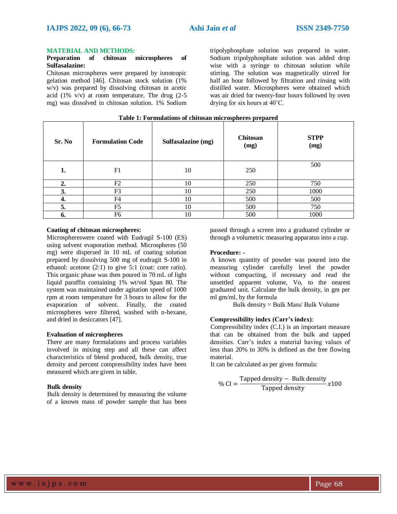#### **MATERIAL AND METHODS:**

## **Preparation of chitosan microspheres of Sulfasalazine:**

Chitosan microspheres were prepared by ionotropic gelation method [46]. Chitosan stock solution (1% w/v) was prepared by dissolving chitosan in acetic acid (1% v/v) at room temperature. The drug (2-5 mg) was dissolved in chitosan solution. 1% Sodium tripolyphosphate solution was prepared in water. Sodium tripolyphosphate solution was added drop wise with a syringe to chitosan solution while stirring. The solution was magnetically stirred for half an hour followed by filtration and rinsing with distilled water. Microspheres were obtained which was air dried for twenty-four hours followed by oven drying for six hours at 40˚C.

| Sr. No | <b>Formulation Code</b> | Sulfasalazine (mg) | Chitosan<br>(mg) | <b>STPP</b><br>(mg) |
|--------|-------------------------|--------------------|------------------|---------------------|
| 1.     | F1                      | 10                 | 250              | 500                 |
| 2.     | F2                      | 10                 | 250              | 750                 |
| 3.     | F <sub>3</sub>          | 10                 | 250              | 1000                |
| 4.     | F <sub>4</sub>          | 10                 | 500              | 500                 |
| 5.     | F <sub>5</sub>          | 10                 | 500              | 750                 |
| 6.     | F6                      | 10                 | 500              | 1000                |

#### **Table 1: Formulations of chitosan microspheres prepared**

### **Coating of chitosan microspheres:**

Microsphereswere coated with Eudragil S-100 (ES) using solvent evaporation method. Microspheres (50 mg) were dispersed in 10 mL of coating solution prepared by dissolving 500 mg of eudragit S-100 in ethanol: acetone (2:1) to give 5:1 (coat: core ratio). This organic phase was then poured in 70 mL of light liquid paraffin containing 1% wt/vol Span 80. The system was maintained under agitation speed of 1000 rpm at room temperature for 3 hours to allow for the evaporation of solvent. Finally, the coated microspheres were filtered, washed with n-hexane, and dried in desiccators [47].

#### **Evaluation of microspheres**

There are many formulations and process variables involved in mixing step and all these can affect characteristics of blend produced, bulk density, true density and percent compressibility index have been measured which are given in table.

#### **Bulk density**

Bulk density is determined by measuring the volume of a known mass of powder sample that has been passed through a screen into a graduated cylinder or through a volumetric measuring apparatus into a cup.

#### **Procedure: -**

A known quantity of powder was poured into the measuring cylinder carefully level the powder without compacting, if necessary and read the unsettled apparent volume, Vo, to the nearest graduated unit. Calculate the bulk density, in gm per ml gm/ml, by the formula

Bulk density = Bulk Mass/ Bulk Volume

# **Compressibility index (Carr's index)**:

Compressibility index (C.I.) is an important measure that can be obtained from the bulk and tapped densities. Carr's index a material having values of less than 20% to 30% is defined as the free flowing material.

It can be calculated as per given formula:

% CI = 
$$
\frac{\text{Tapped density} - \text{Bulk density}}{\text{Tapped density}} x100
$$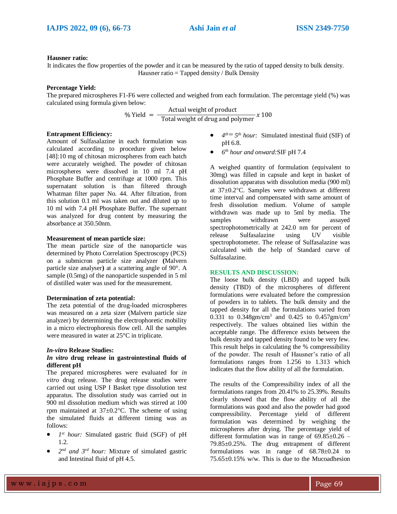## **Hausner ratio:**

It indicates the flow properties of the powder and it can be measured by the ratio of tapped density to bulk density. Hausner ratio = Tapped density / Bulk Density

#### **Percentage Yield:**

The prepared microspheres F1-F6 were collected and weighed from each formulation. The percentage yield (%) was calculated using formula given below:

$$
\% \text{ Yield} = \frac{\text{Actual weight of product}}{\text{Total weight of drug and polymer}} \times 100
$$

# **Entrapment Efficiency:**

Amount of Sulfasalazine in each formulation was calculated according to procedure given below [48]:10 mg of chitosan microspheres from each batch were accurately weighed. The powder of chitosan microspheres were dissolved in 10 ml 7.4 pH Phosphate Buffer and centrifuge at 1000 rpm. This supernatant solution is than filtered through Whatman filter paper No. 44. After filtration, from this solution 0.1 ml was taken out and diluted up to 10 ml with 7.4 pH Phosphate Buffer. The supernant was analyzed for drug content by measuring the absorbance at 350.50nm.

# **Measurement of mean particle size:**

The mean particle size of the nanoparticle was determined by Photo Correlation Spectroscopy (PCS) on a submicron particle size analyzer **(**Malvern particle size analyser**)** at a scattering angle of 90°. A sample (0.5mg) of the nanoparticle suspended in 5 ml of distilled water was used for the measurement.

# **Determination of zeta potential:**

The zeta potential of the drug-loaded microspheres was measured on a zeta sizer (Malvern particle size analyzer) by determining the electrophoretic mobility in a micro electrophoresis flow cell. All the samples were measured in water at 25°C in triplicate.

# *In-vitro* **Release Studies:**

# *In vitro* **drug release in gastrointestinal fluids of different pH**

The prepared microspheres were evaluated for *in vitro* drug release. The drug release studies were carried out using USP I Basket type dissolution test apparatus. The dissolution study was carried out in 900 ml dissolution medium which was stirred at 100 rpm maintained at  $37 \pm 0.2$ °C. The scheme of using the simulated fluids at different timing was as follows:

- *1 st hour:* Simulated gastric fluid (SGF) of pH 1.2.
- 2<sup>nd</sup> and 3<sup>rd</sup> hour: Mixture of simulated gastric and Intestinal fluid of pH 4.5.
- $\bullet$  *4<sup>th to</sup>* 5<sup>th</sup> *hour*: Simulated intestinal fluid (SIF) of pH 6.8.
- *6 th hour and onward:*SIF pH 7.4

A weighed quantity of formulation (equivalent to 30mg) was filled in capsule and kept in basket of dissolution apparatus with dissolution media (900 ml) at  $37\pm0.2$ °C. Samples were withdrawn at different time interval and compensated with same amount of fresh dissolution medium. Volume of sample withdrawn was made up to 5ml by media. The samples withdrawn were assayed spectrophotometrically at 242.0 nm for percent of release Sulfasalazine using UV visible spectrophotometer. The release of Sulfasalazine was calculated with the help of Standard curve of Sulfasalazine.

# **RESULTS AND DISCUSSION:**

The loose bulk density (LBD) and tapped bulk density (TBD) of the microspheres of different formulations were evaluated before the compression of powders in to tablets. The bulk density and the tapped density for all the formulations varied from 0.331 to 0.348gm/cm<sup>3</sup> and 0.425 to 0.457gm/cm<sup>3</sup> respectively. The values obtained lies within the acceptable range. The difference exists between the bulk density and tapped density found to be very few. This result helps in calculating the % compressibility of the powder. The result of Hausner's ratio of all formulations ranges from 1.256 to 1.313 which indicates that the flow ability of all the formulation.

The results of the Compressibility index of all the formulations ranges from 20.41% to 25.39%. Results clearly showed that the flow ability of all the formulations was good and also the powder had good compressibility. Percentage yield of different formulation was determined by weighing the microspheres after drying. The percentage yield of different formulation was in range of  $69.85 \pm 0.26$  – 79.85±0.25%. The drug entrapment of different formulations was in range of 68.78±0.24 to  $75.65\pm0.15\%$  w/w. This is due to the Mucoadhesion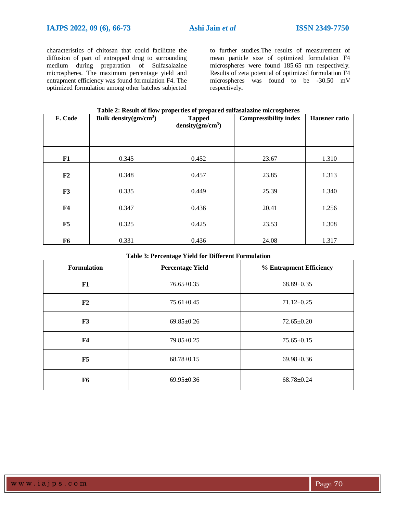characteristics of chitosan that could facilitate the diffusion of part of entrapped drug to surrounding medium during preparation of Sulfasalazine microspheres. The maximum percentage yield and entrapment efficiency was found formulation F4. The optimized formulation among other batches subjected

to further studies.The results of measurement of mean particle size of optimized formulation F4 microspheres were found 185.65 nm respectively. Results of zeta potential of optimized formulation F4 microspheres was found to be -30.50 mV respectively**.** 

| F. Code        | Bulk density $(gm/cm3)$ | <b>Compressibility index</b><br><b>Tapped</b><br>density $(gm/cm3)$ |       | <b>Hausner</b> ratio |
|----------------|-------------------------|---------------------------------------------------------------------|-------|----------------------|
|                |                         |                                                                     |       |                      |
|                |                         |                                                                     |       |                      |
| F1             | 0.345                   | 0.452                                                               | 23.67 | 1.310                |
| F2             | 0.348                   | 0.457                                                               | 23.85 | 1.313                |
|                |                         |                                                                     |       |                      |
| F3             | 0.335                   | 0.449                                                               | 25.39 | 1.340                |
| F <sub>4</sub> | 0.347                   | 0.436                                                               | 20.41 | 1.256                |
|                |                         |                                                                     |       |                      |
| F5             | 0.325                   | 0.425                                                               | 23.53 | 1.308                |
| F <sub>6</sub> | 0.331                   | 0.436                                                               | 24.08 | 1.317                |
|                |                         |                                                                     |       |                      |

# **Table 2: Result of flow properties of prepared sulfasalazine microspheres**

| <b>Formulation</b>     | <b>Percentage Yield</b>              | % Entrapment Efficiency |  |
|------------------------|--------------------------------------|-------------------------|--|
| F1                     | $76.65 \pm 0.35$                     | $68.89 \pm 0.35$        |  |
| F2                     | $75.61 \pm 0.45$                     | $71.12 \pm 0.25$        |  |
| F3<br>$69.85 \pm 0.26$ |                                      | $72.65 \pm 0.20$        |  |
| F <sub>4</sub>         | $79.85 \pm 0.25$                     | $75.65 \pm 0.15$        |  |
| F5                     | $68.78 \pm 0.15$                     | $69.98 \pm 0.36$        |  |
| F6                     | $69.95 \pm 0.36$<br>$68.78 \pm 0.24$ |                         |  |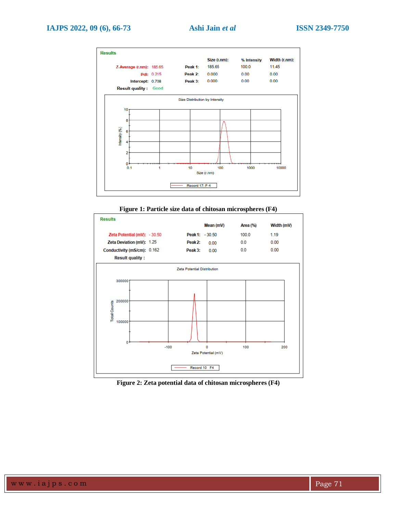

**Figure 1: Particle size data of chitosan microspheres (F4)**



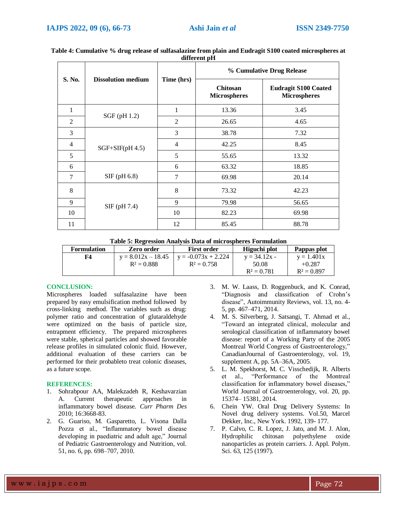| S. No.         |                           | Time (hrs)     | % Cumulative Drug Release              |                                                    |  |
|----------------|---------------------------|----------------|----------------------------------------|----------------------------------------------------|--|
|                | <b>Dissolution medium</b> |                | <b>Chitosan</b><br><b>Microspheres</b> | <b>Eudragit S100 Coated</b><br><b>Microspheres</b> |  |
| 1              | $SGF$ (pH 1.2)            | 1              | 13.36                                  | 3.45                                               |  |
| $\overline{2}$ |                           | $\overline{2}$ | 26.65                                  | 4.65                                               |  |
| 3              | $SGF+SIF(pH 4.5)$         | 3              | 38.78                                  | 7.32                                               |  |
| $\overline{4}$ |                           | $\overline{4}$ | 42.25                                  | 8.45                                               |  |
| 5              |                           | 5              | 55.65                                  | 13.32                                              |  |
| 6              |                           | 6              | 63.32                                  | 18.85                                              |  |
| $\tau$         | $SIF$ (pH 6.8)            | 7              | 69.98                                  | 20.14                                              |  |
| 8              | $SIF$ (pH 7.4)            | 8              | 73.32                                  | 42.23                                              |  |
| 9              |                           | 9              | 79.98                                  | 56.65                                              |  |
| 10             |                           | 10             | 82.23                                  | 69.98                                              |  |
| 11             |                           | 12             | 85.45                                  | 88.78                                              |  |

**Table 4: Cumulative % drug release of sulfasalazine from plain and Eudragit S100 coated microspheres at different pH**

**Table 5: Regression Analysis Data of microspheres Formulation**

| <b>Formulation</b> | Zero order           | <b>First order</b>    | Higuchi plot   | Pappas plot   |
|--------------------|----------------------|-----------------------|----------------|---------------|
| F4                 | $y = 8.012x - 18.45$ | $y = -0.073x + 2.224$ | $y = 34.12x -$ | $y = 1.401x$  |
|                    | $R^2 = 0.888$        | $R^2 = 0.758$         | 50.08          | $+0.287$      |
|                    |                      |                       | $R^2 = 0.781$  | $R^2 = 0.897$ |

# **CONCLUSION:**

Microspheres loaded sulfasalazine have been prepared by easy emulsification method followed by cross-linking method. The variables such as drug: polymer ratio and concentration of glutaraldehyde were optimized on the basis of particle size, entrapment efficiency. The prepared microspheres were stable, spherical particles and showed favorable release profiles in simulated colonic fluid. However, additional evaluation of these carriers can be performed for their probableto treat colonic diseases, as a future scope.

# **REFERENCES:**

- 1. Sohrabpour AA, Malekzadeh R, Keshavarzian A. Current therapeutic approaches in inflammatory bowel disease. *Curr Pharm Des*  2010; 16:3668-83.
- 2. G. Guariso, M. Gasparetto, L. Visona Dalla Pozza et al., "Inflammatory bowel disease developing in paediatric and adult age," Journal of Pediatric Gastroenterology and Nutrition, vol. 51, no. 6, pp. 698–707, 2010.
- 3. M. W. Laass, D. Roggenbuck, and K. Conrad, "Diagnosis and classification of Crohn's disease", Autoimmunity Reviews, vol. 13, no. 4- 5, pp. 467–471, 2014.
- 4. M. S. Silverberg, J. Satsangi, T. Ahmad et al., "Toward an integrated clinical, molecular and serological classification of inflammatory bowel disease: report of a Working Party of the 2005 Montreal World Congress of Gastroenterology," CanadianJournal of Gastroenterology, vol. 19, supplement A, pp. 5A–36A, 2005.
- 5. L. M. Spekhorst, M. C. Visschedijk, R. Alberts et al., "Performance of the Montreal classification for inflammatory bowel diseases," World Journal of Gastroenterology, vol. 20, pp. 15374– 15381, 2014.
- 6. Chein YW. Oral Drug Delivery Systems: In Novel drug delivery systems. Vol.50, Marcel Dekker, Inc., New York. 1992, 139- 177.
- 7. P. Calvo, C. R. Lopez, J. Jato, and M. J. Alon, Hydrophilic chitosan polyethylene oxide nanoparticles as protein carriers. J. Appl. Polym. Sci. 63, 125 (1997).